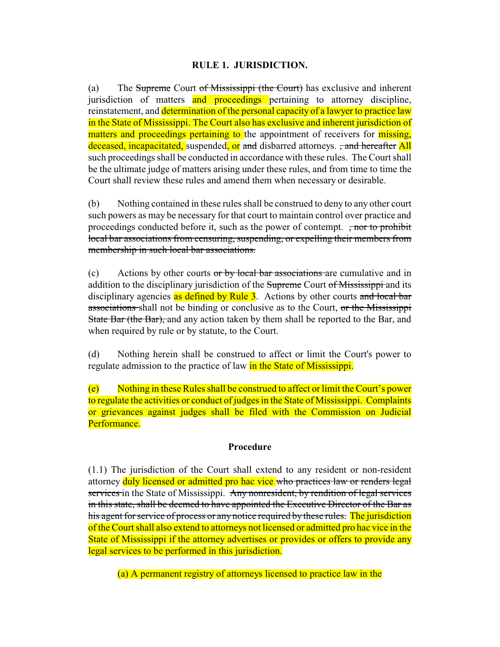## **RULE 1. JURISDICTION.**

(a) The Supreme Court of Mississippi (the Court) has exclusive and inherent jurisdiction of matters and proceedings pertaining to attorney discipline, reinstatement, and determination of the personal capacity of a lawyer to practice law in the State of Mississippi. The Court also has exclusive and inherent jurisdiction of matters and proceedings pertaining to the appointment of receivers for missing, deceased, incapacitated, suspended, or and disbarred attorneys. <del>, and hereafter</del> All such proceedings shall be conducted in accordance with these rules. The Court shall be the ultimate judge of matters arising under these rules, and from time to time the Court shall review these rules and amend them when necessary or desirable.

(b) Nothing contained in these rules shall be construed to deny to any other court such powers as may be necessary for that court to maintain control over practice and proceedings conducted before it, such as the power of contempt. <del>, nor to prohibit</del> local bar associations from censuring, suspending, or expelling their members from membership in such local bar associations.

(c) Actions by other courts or by local bar associations are cumulative and in addition to the disciplinary jurisdiction of the Supreme Court of Mississippi and its disciplinary agencies as defined by Rule 3. Actions by other courts and local bar associations shall not be binding or conclusive as to the Court, or the Mississippi State Bar (the Bar), and any action taken by them shall be reported to the Bar, and when required by rule or by statute, to the Court.

(d) Nothing herein shall be construed to affect or limit the Court's power to regulate admission to the practice of law in the State of Mississippi.

(e) Nothing in these Rules shall be construed to affect or limit the Court's power to regulate the activities or conduct of judges in the State of Mississippi. Complaints or grievances against judges shall be filed with the Commission on Judicial Performance.

## **Procedure**

(1.1) The jurisdiction of the Court shall extend to any resident or non-resident attorney duly licensed or admitted pro hac vice who practices law or renders legal services in the State of Mississippi. Any nonresident, by rendition of legal services in this state, shall be deemed to have appointed the Executive Director of the Bar as his agent for service of process or any notice required by these rules. The jurisdiction of the Court shall also extend to attorneys not licensed or admitted pro hac vice in the State of Mississippi if the attorney advertises or provides or offers to provide any legal services to be performed in this jurisdiction.

(a) A permanent registry of attorneys licensed to practice law in the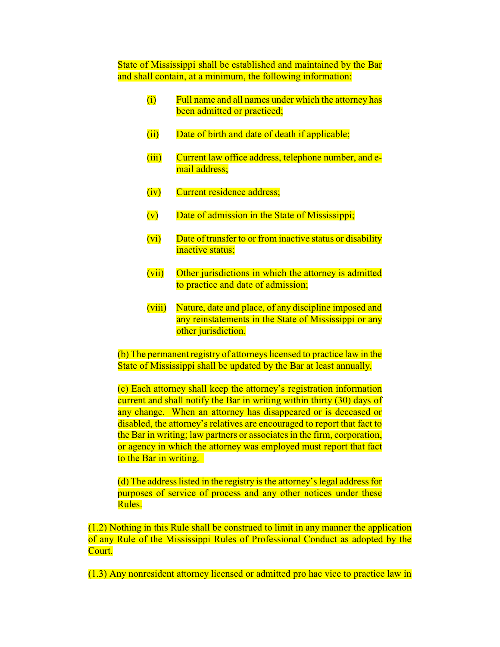State of Mississippi shall be established and maintained by the Bar and shall contain, at a minimum, the following information:

- (i) Full name and all names under which the attorney has been admitted or practiced;
- (ii) Date of birth and date of death if applicable;
- (iii) Current law office address, telephone number, and email address;
- (iv) Current residence address;
- (v) Date of admission in the State of Mississippi;
- (vi) Date of transfer to or from inactive status or disability inactive status;
- (vii) Other jurisdictions in which the attorney is admitted to practice and date of admission;
- (viii) Nature, date and place, of any discipline imposed and any reinstatements in the State of Mississippi or any other jurisdiction.

(b) The permanent registry of attorneys licensed to practice law in the State of Mississippi shall be updated by the Bar at least annually.

(c) Each attorney shall keep the attorney's registration information current and shall notify the Bar in writing within thirty (30) days of any change. When an attorney has disappeared or is deceased or disabled, the attorney's relatives are encouraged to report that fact to the Bar in writing; law partners or associates in the firm, corporation, or agency in which the attorney was employed must report that fact to the Bar in writing.

(d) The address listed in the registry is the attorney's legal address for purposes of service of process and any other notices under these Rules.

(1.2) Nothing in this Rule shall be construed to limit in any manner the application of any Rule of the Mississippi Rules of Professional Conduct as adopted by the Court.

(1.3) Any nonresident attorney licensed or admitted pro hac vice to practice law in